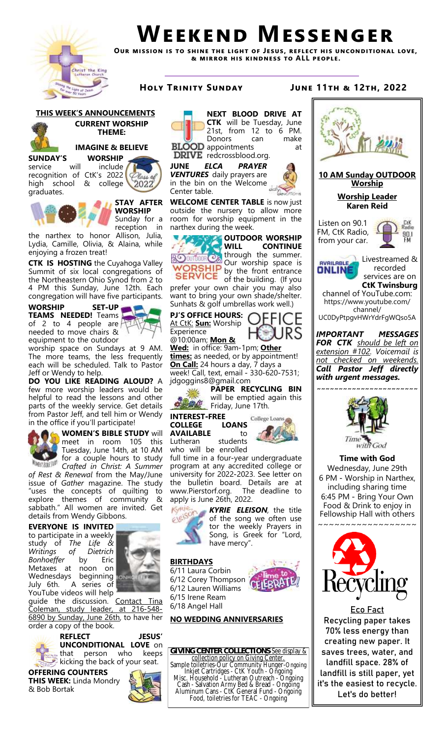

# **Weekend Messenger**

**Our mission is to shine the light of Jesus, reflect his unconditional love, & mirror his kindness to ALL people.**



## **THIS WEEK'S ANNOUNCEMENTS CURRENT WORSHIP THEME:**

# **IMAGINE & BELIEVE**

**SUNDAY'S WORSHIP**  service will include recognition of CtK's 2022 high school & college graduates.



**WORSHIP** Sunday for a reception in

the narthex to honor Allison, Julia, Lydia, Camille, Olivia, & Alaina, while enjoying a frozen treat!

**CTK IS HOSTING** the Cuyahoga Valley Summit of six local congregations of the Northeastern Ohio Synod from 2 to 4 PM this Sunday, June 12th. Each congregation will have five participants.

**WORSHIP SET-UP TEAMS NEEDED!** Teams of 2 to 4 people are needed to move chairs & equipment to the outdoor

worship space on Sundays at 9 AM. The more teams, the less frequently each will be scheduled. Talk to Pastor Jeff or Wendy to help.

**DO YOU LIKE READING ALOUD?** A few more worship leaders would be helpful to read the lessons and other parts of the weekly service. Get details from Pastor Jeff, and tell him or Wendy in the office if you'll participate!



**WOMEN'S BIBLE STUDY** will meet in room 105 this Tuesday, June 14th, at 10 AM for a couple hours to study

*Crafted in Christ: A Summer of Rest & Renewal* from the May/June issue of *Gather* magazine. The study "uses the concepts of quilting to explore themes of community & sabbath." All women are invited. Get details from Wendy Gibbons.

# **EVERYONE IS INVITED**

to participate in a weekly study of *The Life & Writings of Dietrich Bonhoeffer* by Eric Metaxes at noon on Wednesdays beginning July 6th. A series of YouTube videos will help



guide the discussion. Contact Tina<br>Coleman, study leader, at 216-548-Coleman, study leader, 6890 by Sunday, June 26th, to have her order a copy of the book.



**REFLECT JESUS' UNCONDITIONAL LOVE** on that person who keeps kicking the back of your seat.

**OFFERING COUNTERS THIS WEEK:** Linda Mondry & Bob Bortak





Center table.

**NEXT BLOOD DRIVE AT CTK** will be Tuesday, June 21st, from  $12$  to  $6$  PM. Donors can make





**WELCOME CENTER TABLE** is now just outside the nursery to allow more room for worship equipment in the narthex during the week.



**OUTDOOR WORSHIP WILL CONTINUE**  through the summer. Our worship space is by the front entrance of the building. (If you

prefer your own chair you may also want to bring your own shade/shelter. Sunhats & golf umbrellas work well.)

**PJ'S OFFICE HOURS:**  At CtK: **Sun:** Worship Experience



@10:00am; **Mon & Wed:** in office: 9am-1pm; **Other** 

**times:** as needed, or by appointment! **On Call:** 24 hours a day, 7 days a week! Call, text, email - 330-620-7531;

jdgoggins8@gmail.com **PAPER RECYCLING BIN** 

will be emptied again this Friday, June 17th.

**INTEREST-FREE AVAILABLE** to Lutheran students



who will be enrolled full time in a four-year undergraduate program at any accredited college or university for 2022-2023. See letter on the bulletin board. Details are at www.Pierstorf.org. The deadline to apply is June 26th, 2022.



*KYRIE ELEISON,* the title of the song we often use tor the weekly Prayers in Song, is Greek for "Lord, have mercy".

 $\mathbf{R} = 1$ 

# **BIRTHDAYS**

6/11 Laura Corbin 6/12 Corey Thompson 6/12 Lauren Williams 6/15 Irene Ream 6/18 Angel Hall

# **NO WEDDING ANNIVERSARIES**

**GIVING CENTER COLLECTIONS**-See display & collection policy on Giving Center. Sample toiletries-Our Community Hunger-Ongoing Inkjet Cartridges - CtK Youth - Ongoing Misc. Household - Lutheran Outreach - Ongoing Cash - Salvation Army Bed & Bread - Ongoing

Aluminum Cans - CtK General Fund - Ongoing Food, toiletries for TEAC - Ongoing

# **Holy Trinity Sunday June 11th & 12th, 2022**



it's the easiest to recycle. Let's do better!